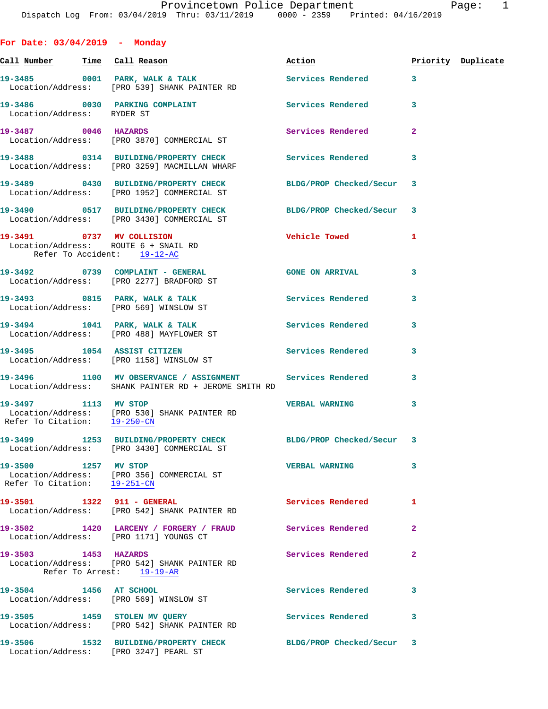**For Date: 03/04/2019 - Monday** Call Number **Time** Call Reason **Reason Burner** Action **Priority Duplicate** 19-3485 0001 PARK, WALK & TALK Services Rendered 3 Location/Address: [PRO 539] SHANK PAINTER RD 19-3486 0030 PARKING COMPLAINT Services Rendered 3 Location/Address: RYDER ST **19-3487 0046 HAZARDS Services Rendered 2**  Location/Address: [PRO 3870] COMMERCIAL ST **19-3488 0314 BUILDING/PROPERTY CHECK Services Rendered 3**  Location/Address: [PRO 3259] MACMILLAN WHARF **19-3489 0430 BUILDING/PROPERTY CHECK BLDG/PROP Checked/Secur 3**  Location/Address: [PRO 1952] COMMERCIAL ST **19-3490 0517 BUILDING/PROPERTY CHECK BLDG/PROP Checked/Secur 3**  Location/Address: [PRO 3430] COMMERCIAL ST **19-3491 0737 MV COLLISION Vehicle Towed 1**  Location/Address: ROUTE 6 + SNAIL RD Refer To Accident: 19-12-AC **19-3492 0739 COMPLAINT - GENERAL GONE ON ARRIVAL 3**  Location/Address: [PRO 2277] BRADFORD ST 19-3493 0815 PARK, WALK & TALK **Services Rendered** 3 Location/Address: [PRO 569] WINSLOW ST **19-3494 1041 PARK, WALK & TALK Services Rendered 3**  Location/Address: [PRO 488] MAYFLOWER ST **19-3495 1054 ASSIST CITIZEN Services Rendered 3**  Location/Address: [PRO 1158] WINSLOW ST **19-3496 1100 MV OBSERVANCE / ASSIGNMENT Services Rendered 3**  Location/Address: SHANK PAINTER RD + JEROME SMITH RD **19-3497 1113 MV STOP VERBAL WARNING 3**  Location/Address: [PRO 530] SHANK PAINTER RD Refer To Citation: 19-250-CN **19-3499 1253 BUILDING/PROPERTY CHECK BLDG/PROP Checked/Secur 3**  Location/Address: [PRO 3430] COMMERCIAL ST **19-3500 1257 MV STOP VERBAL WARNING 3**  Location/Address: [PRO 356] COMMERCIAL ST Refer To Citation: 19-251-CN **19-3501 1322 911 - GENERAL Services Rendered 1**  Location/Address: [PRO 542] SHANK PAINTER RD **19-3502 1420 LARCENY / FORGERY / FRAUD Services Rendered 2**  Location/Address: [PRO 1171] YOUNGS CT **19-3503 1453 HAZARDS Services Rendered 2**  Location/Address: [PRO 542] SHANK PAINTER RD Refer To Arrest: 19-19-AR **19-3504 1456 AT SCHOOL Services Rendered 3** 

 Location/Address: [PRO 569] WINSLOW ST **19-3505 1459 STOLEN MV QUERY Services Rendered 3**  Location/Address: [PRO 542] SHANK PAINTER RD

**19-3506 1532 BUILDING/PROPERTY CHECK BLDG/PROP Checked/Secur 3**  Location/Address: [PRO 3247] PEARL ST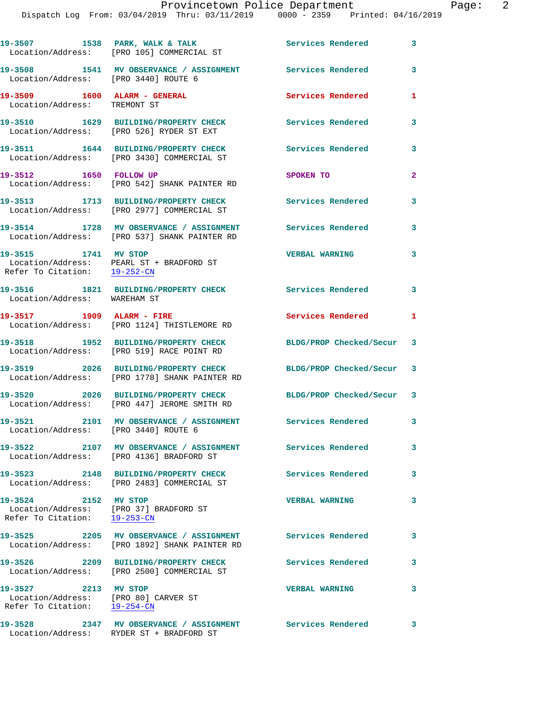|                                                                                                                  | 19-3507 1538 PARK, WALK & TALK<br>Location/Address: [PRO 105] COMMERCIAL ST                                | Services Rendered         | 3                       |
|------------------------------------------------------------------------------------------------------------------|------------------------------------------------------------------------------------------------------------|---------------------------|-------------------------|
| Location/Address: [PRO 3440] ROUTE 6                                                                             | 19-3508 1541 MV OBSERVANCE / ASSIGNMENT                                                                    | Services Rendered         | 3                       |
| 19-3509 1600 ALARM - GENERAL<br>Location/Address: TREMONT ST                                                     |                                                                                                            | Services Rendered         | 1                       |
|                                                                                                                  | 19-3510 1629 BUILDING/PROPERTY CHECK<br>Location/Address: [PRO 526] RYDER ST EXT                           | Services Rendered         | 3                       |
|                                                                                                                  | 19-3511 1644 BUILDING/PROPERTY CHECK<br>Location/Address: [PRO 3430] COMMERCIAL ST                         | Services Rendered         | 3                       |
| 19-3512 1650 FOLLOW UP                                                                                           | Location/Address: [PRO 542] SHANK PAINTER RD                                                               | SPOKEN TO                 | $\mathbf{2}$            |
|                                                                                                                  | 19-3513 1713 BUILDING/PROPERTY CHECK<br>Location/Address: [PRO 2977] COMMERCIAL ST                         | <b>Services Rendered</b>  | 3                       |
|                                                                                                                  | 19-3514 1728 MV OBSERVANCE / ASSIGNMENT<br>Location/Address: [PRO 537] SHANK PAINTER RD                    | <b>Services Rendered</b>  | 3                       |
| 19-3515 1741 MV STOP<br>Refer To Citation: $19-252-CN$                                                           | Location/Address: PEARL ST + BRADFORD ST                                                                   | <b>VERBAL WARNING</b>     | 3                       |
| Location/Address: WAREHAM ST                                                                                     | 19-3516 1821 BUILDING/PROPERTY CHECK                                                                       | Services Rendered         | $\overline{\mathbf{3}}$ |
| 19-3517 1909 ALARM - FIRE                                                                                        | Location/Address: [PRO 1124] THISTLEMORE RD                                                                | Services Rendered         | 1                       |
|                                                                                                                  | 19-3518 1952 BUILDING/PROPERTY CHECK<br>Location/Address: [PRO 519] RACE POINT RD                          | BLDG/PROP Checked/Secur   | 3                       |
|                                                                                                                  | 19-3519 2026 BUILDING/PROPERTY CHECK<br>Location/Address: [PRO 1778] SHANK PAINTER RD                      | BLDG/PROP Checked/Secur 3 |                         |
|                                                                                                                  | 19-3520 2026 BUILDING/PROPERTY CHECK<br>Location/Address: [PRO 447] JEROME SMITH RD                        | BLDG/PROP Checked/Secur 3 |                         |
| 19-3521                                                                                                          | 2101 MV OBSERVANCE / ASSIGNMENT Services Rendered 3<br>Location/Address: [PRO 3440] ROUTE 6                |                           |                         |
|                                                                                                                  | 19-3522 2107 MV OBSERVANCE / ASSIGNMENT Services Rendered<br>Location/Address: [PRO 4136] BRADFORD ST      |                           | 3                       |
| 19-3523                                                                                                          | 2148 BUILDING/PROPERTY CHECK<br>Location/Address: [PRO 2483] COMMERCIAL ST                                 | Services Rendered         | 3                       |
| 19-3524 2152 MV STOP<br>Refer To Citation: 19-253-CN                                                             | Location/Address: [PRO 37] BRADFORD ST                                                                     | <b>VERBAL WARNING</b>     | 3                       |
|                                                                                                                  | 19-3525 2205 MV OBSERVANCE / ASSIGNMENT Services Rendered<br>Location/Address: [PRO 1892] SHANK PAINTER RD |                           | 3                       |
|                                                                                                                  | 19-3526 2209 BUILDING/PROPERTY CHECK<br>Location/Address: [PRO 2500] COMMERCIAL ST                         | Services Rendered         | 3                       |
| 19-3527 2213 MV STOP<br>Location/Address: [PRO 80] CARVER ST<br>Refer To Citation: $\frac{19-254-CN}{29-254-CN}$ |                                                                                                            | <b>VERBAL WARNING</b>     | 3                       |
|                                                                                                                  | 19-3528 2347 MV OBSERVANCE / ASSIGNMENT Services Rendered<br>Location/Address: RYDER ST + BRADFORD ST      |                           | 3                       |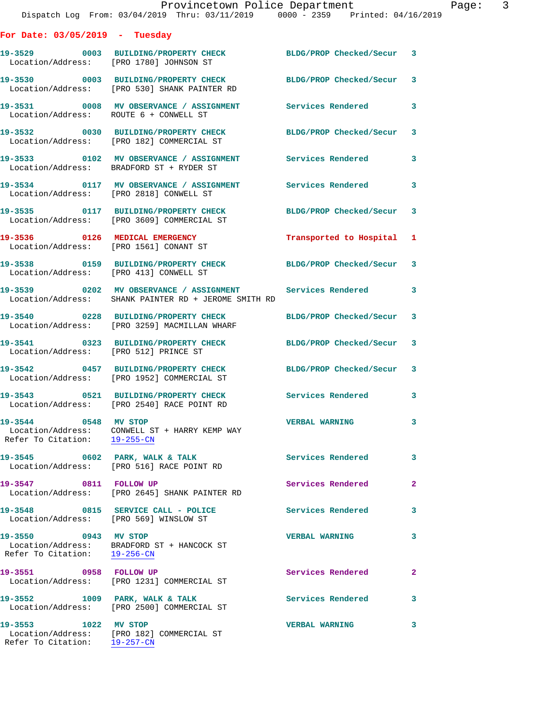|                                                      | Provincetown Police Department<br>Dispatch Log From: 03/04/2019 Thru: 03/11/2019 0000 - 2359 Printed: 04/16/2019  |                          |              |
|------------------------------------------------------|-------------------------------------------------------------------------------------------------------------------|--------------------------|--------------|
| For Date: $03/05/2019$ - Tuesday                     |                                                                                                                   |                          |              |
| Location/Address: [PRO 1780] JOHNSON ST              | 19-3529 0003 BUILDING/PROPERTY CHECK BLDG/PROP Checked/Secur 3                                                    |                          |              |
|                                                      | 19-3530 0003 BUILDING/PROPERTY CHECK<br>Location/Address: [PRO 530] SHANK PAINTER RD                              | BLDG/PROP Checked/Secur  | 3            |
| Location/Address: ROUTE 6 + CONWELL ST               | 19-3531 0008 MV OBSERVANCE / ASSIGNMENT Services Rendered                                                         |                          | 3            |
|                                                      | 19-3532 0030 BUILDING/PROPERTY CHECK<br>Location/Address: [PRO 182] COMMERCIAL ST                                 | BLDG/PROP Checked/Secur  | 3            |
|                                                      | 19-3533 6102 MV OBSERVANCE / ASSIGNMENT Services Rendered<br>Location/Address: BRADFORD ST + RYDER ST             |                          | 3            |
| Location/Address: [PRO 2818] CONWELL ST              | 19-3534 0117 MV OBSERVANCE / ASSIGNMENT Services Rendered                                                         |                          | 3            |
|                                                      | 19-3535 0117 BUILDING/PROPERTY CHECK<br>Location/Address: [PRO 3609] COMMERCIAL ST                                | BLDG/PROP Checked/Secur  | 3            |
|                                                      | 19-3536 0126 MEDICAL EMERGENCY<br>Location/Address: [PRO 1561] CONANT ST                                          | Transported to Hospital  | 1            |
| Location/Address: [PRO 413] CONWELL ST               | 19-3538 0159 BUILDING/PROPERTY CHECK BLDG/PROP Checked/Secur                                                      |                          | 3            |
|                                                      | 19-3539 0202 MV OBSERVANCE / ASSIGNMENT Services Rendered<br>Location/Address: SHANK PAINTER RD + JEROME SMITH RD |                          | 3            |
|                                                      |                                                                                                                   | BLDG/PROP Checked/Secur  | 3            |
| Location/Address: [PRO 512] PRINCE ST                | 19-3541 0323 BUILDING/PROPERTY CHECK                                                                              | BLDG/PROP Checked/Secur  | 3            |
|                                                      | 19-3542 0457 BUILDING/PROPERTY CHECK<br>Location/Address: [PRO 1952] COMMERCIAL ST                                | BLDG/PROP Checked/Secur  | 3            |
|                                                      | 19-3543 0521 BUILDING/PROPERTY CHECK<br>Location/Address: [PRO 2540] RACE POINT RD                                | <b>Services Rendered</b> |              |
| 19-3544 0548 MV STOP<br>Refer To Citation: 19-255-CN | Location/Address: CONWELL ST + HARRY KEMP WAY                                                                     | <b>VERBAL WARNING</b>    | 3            |
|                                                      | 19-3545 0602 PARK, WALK & TALK<br>Location/Address: [PRO 516] RACE POINT RD                                       | Services Rendered        | 3            |
| 19-3547 0811 FOLLOW UP                               | Location/Address: [PRO 2645] SHANK PAINTER RD                                                                     | Services Rendered        | $\mathbf{2}$ |
|                                                      | 19-3548 0815 SERVICE CALL - POLICE<br>Location/Address: [PRO 569] WINSLOW ST                                      | Services Rendered        | 3            |
| 19-3550 0943 MV STOP<br>Refer To Citation: 19-256-CN | Location/Address: BRADFORD ST + HANCOCK ST                                                                        | <b>VERBAL WARNING</b>    | 3            |
| 19-3551 0958 FOLLOW UP                               | Location/Address: [PRO 1231] COMMERCIAL ST                                                                        | Services Rendered        | $\mathbf{2}$ |
|                                                      | 19-3552 1009 PARK, WALK & TALK<br>Location/Address: [PRO 2500] COMMERCIAL ST                                      | <b>Services Rendered</b> | 3            |
| 19-3553 1022 MV STOP                                 | Location/Address: [PRO 182] COMMERCIAL ST                                                                         | <b>VERBAL WARNING</b>    | 3            |

Refer To Citation: 19-257-CN

Page: 3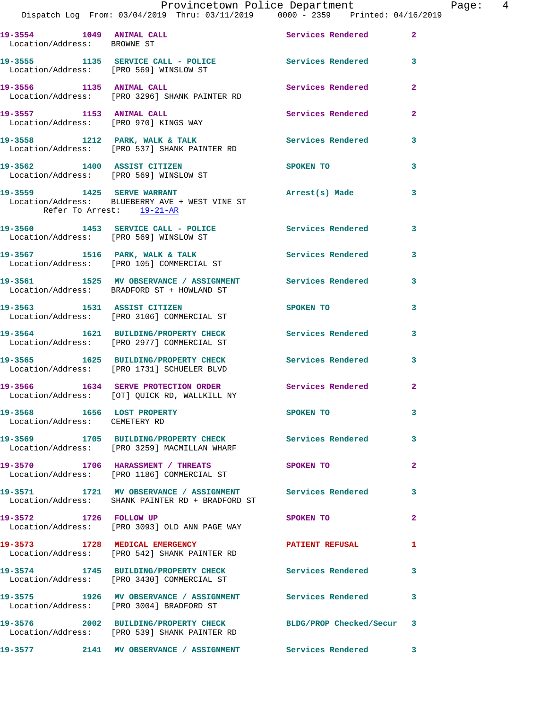|                                                             | Dispatch Log From: 03/04/2019 Thru: 03/11/2019 0000 - 2359 Printed: 04/16/2019                                 | Provincetown Police Department The Rage: 4           |              |  |
|-------------------------------------------------------------|----------------------------------------------------------------------------------------------------------------|------------------------------------------------------|--------------|--|
| Location/Address: BROWNE ST                                 | 19-3554 1049 ANIMAL CALL 2 Services Rendered 2                                                                 |                                                      |              |  |
|                                                             | 19-3555 1135 SERVICE CALL - POLICE 3 Services Rendered 3<br>Location/Address: [PRO 569] WINSLOW ST             |                                                      |              |  |
|                                                             |                                                                                                                | Services Rendered                                    | $\mathbf{2}$ |  |
| 19-3557 1153 ANIMAL CALL                                    | Location/Address: [PRO 970] KINGS WAY                                                                          | Services Rendered                                    | $\mathbf{2}$ |  |
|                                                             | 19-3558 1212 PARK, WALK & TALK (Services Rendered 3<br>Location/Address: [PRO 537] SHANK PAINTER RD            |                                                      |              |  |
|                                                             | 19-3562 1400 ASSIST CITIZEN<br>Location/Address: [PRO 569] WINSLOW ST                                          | <b>SPOKEN TO</b>                                     | 3            |  |
| Refer To Arrest: 19-21-AR                                   | 19-3559 1425 SERVE WARRANT<br>Location/Address: BLUEBERRY AVE + WEST VINE ST                                   | Arrest(s) Made                                       | 3            |  |
|                                                             | 19-3560 1453 SERVICE CALL - POLICE Services Rendered<br>Location/Address: [PRO 569] WINSLOW ST                 |                                                      | 3            |  |
|                                                             | 19-3567 1516 PARK, WALK & TALK 1997 Services Rendered 3<br>Location/Address: [PRO 105] COMMERCIAL ST           |                                                      |              |  |
|                                                             | 19-3561 1525 MV OBSERVANCE / ASSIGNMENT Services Rendered<br>Location/Address: BRADFORD ST + HOWLAND ST        |                                                      | 3            |  |
|                                                             | 19-3563 1531 ASSIST CITIZEN<br>Location/Address: [PRO 3106] COMMERCIAL ST                                      | SPOKEN TO AND TO A REAL PROPERTY OF A REAL PROPERTY. | 3            |  |
|                                                             | 19-3564 1621 BUILDING/PROPERTY CHECK Services Rendered 3<br>Location/Address: [PRO 2977] COMMERCIAL ST         |                                                      |              |  |
|                                                             | 19-3565 1625 BUILDING/PROPERTY CHECK Services Rendered<br>Location/Address: [PRO 1731] SCHUELER BLVD           |                                                      | 3            |  |
|                                                             | 19-3566 1634 SERVE PROTECTION ORDER Services Rendered<br>Location/Address: [OT] QUICK RD, WALLKILL NY          |                                                      | $\mathbf{2}$ |  |
| 19-3568 1656 LOST PROPERTY<br>Location/Address: CEMETERY RD |                                                                                                                | SPOKEN TO                                            | 3            |  |
|                                                             | 19-3569 1705 BUILDING/PROPERTY CHECK Services Rendered<br>Location/Address: [PRO 3259] MACMILLAN WHARF         |                                                      | 3            |  |
|                                                             | 19-3570 1706 HARASSMENT / THREATS SPOKEN TO<br>Location/Address: [PRO 1186] COMMERCIAL ST                      |                                                      | $\mathbf{2}$ |  |
|                                                             | 19-3571 1721 MV OBSERVANCE / ASSIGNMENT Services Rendered<br>Location/Address: SHANK PAINTER RD + BRADFORD ST  |                                                      | 3            |  |
| 19-3572 1726 FOLLOW UP                                      | Location/Address: [PRO 3093] OLD ANN PAGE WAY                                                                  | SPOKEN TO                                            | $\mathbf{2}$ |  |
|                                                             | 19-3573 1728 MEDICAL EMERGENCY PATIENT REFUSAL<br>Location/Address: [PRO 542] SHANK PAINTER RD                 |                                                      | 1            |  |
|                                                             | 19-3574 1745 BUILDING/PROPERTY CHECK Services Rendered<br>Location/Address: [PRO 3430] COMMERCIAL ST           |                                                      | $\mathbf{3}$ |  |
|                                                             | 19-3575 1926 MV OBSERVANCE / ASSIGNMENT Services Rendered<br>Location/Address: [PRO 3004] BRADFORD ST          |                                                      | 3            |  |
|                                                             | 19-3576 2002 BUILDING/PROPERTY CHECK BLDG/PROP Checked/Secur 3<br>Location/Address: [PRO 539] SHANK PAINTER RD |                                                      |              |  |
|                                                             |                                                                                                                |                                                      |              |  |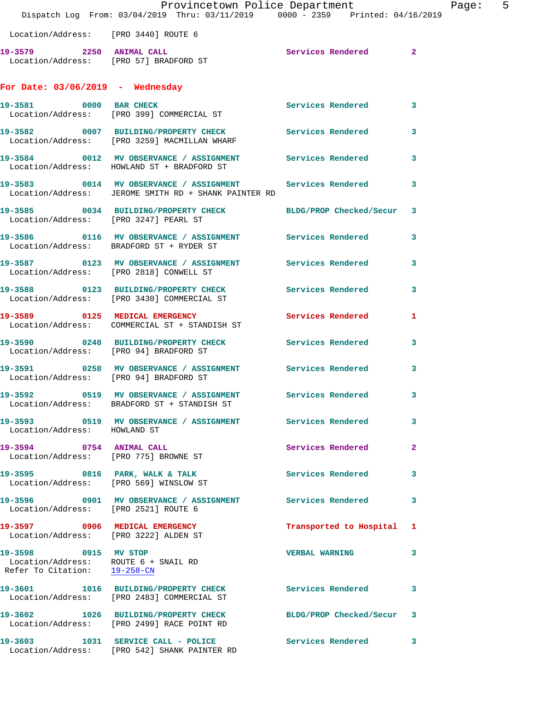|                                                                   | Provincetown Police Department<br>Dispatch Log From: 03/04/2019 Thru: 03/11/2019 0000 - 2359 Printed: 04/16/2019  |                           |              | Page: 5 |  |
|-------------------------------------------------------------------|-------------------------------------------------------------------------------------------------------------------|---------------------------|--------------|---------|--|
| Location/Address: [PRO 3440] ROUTE 6                              |                                                                                                                   |                           |              |         |  |
|                                                                   | 19-3579 2250 ANIMAL CALL<br>Location/Address: [PRO 57] BRADFORD ST                                                | Services Rendered 2       |              |         |  |
| For Date: $03/06/2019$ - Wednesday                                |                                                                                                                   |                           |              |         |  |
|                                                                   | 19-3581 0000 BAR CHECK<br>Location/Address: [PRO 399] COMMERCIAL ST                                               | Services Rendered 3       |              |         |  |
|                                                                   | 19-3582 0007 BUILDING/PROPERTY CHECK Services Rendered 3<br>Location/Address: [PRO 3259] MACMILLAN WHARF          |                           |              |         |  |
|                                                                   | 19-3584 0012 MV OBSERVANCE / ASSIGNMENT Services Rendered 3<br>Location/Address: HOWLAND ST + BRADFORD ST         |                           |              |         |  |
|                                                                   | 19-3583 0014 MV OBSERVANCE / ASSIGNMENT Services Rendered<br>Location/Address: JEROME SMITH RD + SHANK PAINTER RD |                           | $\mathbf{3}$ |         |  |
| Location/Address: [PRO 3247] PEARL ST                             | 19-3585 0034 BUILDING/PROPERTY CHECK BLDG/PROP Checked/Secur 3                                                    |                           |              |         |  |
|                                                                   | 19-3586 6 0116 MV OBSERVANCE / ASSIGNMENT Services Rendered<br>Location/Address: BRADFORD ST + RYDER ST           |                           | $\mathbf{3}$ |         |  |
|                                                                   | 19-3587 0123 MV OBSERVANCE / ASSIGNMENT Services Rendered<br>Location/Address: [PRO 2818] CONWELL ST              |                           | $\mathbf{3}$ |         |  |
|                                                                   | 19-3588 0123 BUILDING/PROPERTY CHECK Services Rendered 3<br>Location/Address: [PRO 3430] COMMERCIAL ST            |                           |              |         |  |
|                                                                   | 19-3589 0125 MEDICAL EMERGENCY<br>Location/Address: COMMERCIAL ST + STANDISH ST                                   | <b>Services Rendered</b>  | 1            |         |  |
| Location/Address: [PRO 94] BRADFORD ST                            | 19-3590 0240 BUILDING/PROPERTY CHECK Services Rendered 3                                                          |                           |              |         |  |
| Location/Address: [PRO 94] BRADFORD ST                            | 19-3591 0258 MV OBSERVANCE / ASSIGNMENT Services Rendered                                                         |                           | $\mathbf{3}$ |         |  |
| 19-3592                                                           | 0519 MV OBSERVANCE / ASSIGNMENT Services Rendered 3<br>Location/Address: BRADFORD ST + STANDISH ST                |                           |              |         |  |
| Location/Address: HOWLAND ST                                      | 19-3593 0519 MV OBSERVANCE / ASSIGNMENT Services Rendered 3                                                       |                           |              |         |  |
| 19-3594 0754 ANIMAL CALL<br>Location/Address: [PRO 775] BROWNE ST |                                                                                                                   | Services Rendered 2       |              |         |  |
|                                                                   | 19-3595 0816 PARK, WALK & TALK 1997 Services Rendered 3<br>Location/Address: [PRO 569] WINSLOW ST                 |                           |              |         |  |
| Location/Address: [PRO 2521] ROUTE 6                              |                                                                                                                   |                           | 3            |         |  |
| Location/Address: [PRO 3222] ALDEN ST                             | 19-3597 0906 MEDICAL EMERGENCY                                                                                    | Transported to Hospital 1 |              |         |  |
| 19-3598 0915 MV STOP<br>Refer To Citation: 19-258-CN              | Location/Address: ROUTE 6 + SNAIL RD                                                                              | VERBAL WARNING 3          |              |         |  |
|                                                                   | 19-3601 1016 BUILDING/PROPERTY CHECK Services Rendered 3<br>Location/Address: [PRO 2483] COMMERCIAL ST            |                           |              |         |  |
|                                                                   | 19-3602 1026 BUILDING/PROPERTY CHECK BLDG/PROP Checked/Secur 3<br>Location/Address: [PRO 2499] RACE POINT RD      |                           |              |         |  |
|                                                                   | 19-3603 1031 SERVICE CALL - POLICE Services Rendered 3<br>Location/Address: [PRO 542] SHANK PAINTER RD            |                           |              |         |  |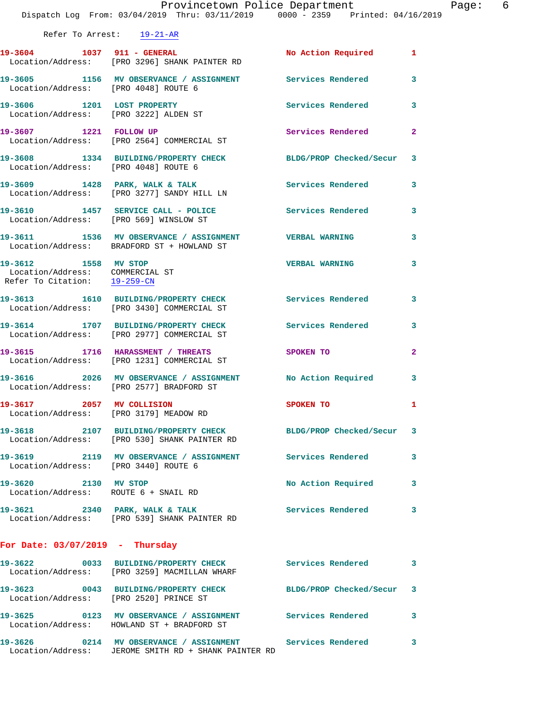|                                                                                         | Provincetown Police Department<br>Dispatch Log From: 03/04/2019 Thru: 03/11/2019 0000 - 2359 Printed: 04/16/2019 |                                                                                 | Page: 6      |
|-----------------------------------------------------------------------------------------|------------------------------------------------------------------------------------------------------------------|---------------------------------------------------------------------------------|--------------|
| Refer To Arrest: 19-21-AR                                                               |                                                                                                                  |                                                                                 |              |
|                                                                                         | 19-3604 1037 911 - GENERAL<br>Location/Address: [PRO 3296] SHANK PAINTER RD                                      | No Action Required 1                                                            |              |
|                                                                                         | 19-3605 1156 MV OBSERVANCE / ASSIGNMENT Services Rendered 3<br>Location/Address: [PRO 4048] ROUTE 6              |                                                                                 |              |
|                                                                                         | 19-3606 1201 LOST PROPERTY<br>Location/Address: [PRO 3222] ALDEN ST                                              | Services Rendered 3                                                             |              |
|                                                                                         | 19-3607 1221 FOLLOW UP Services Rendered<br>Location/Address: [PRO 2564] COMMERCIAL ST                           |                                                                                 | $\mathbf{2}$ |
| Location/Address: [PRO 4048] ROUTE 6                                                    | 19-3608 1334 BUILDING/PROPERTY CHECK BLDG/PROP Checked/Secur 3                                                   |                                                                                 |              |
|                                                                                         | 19-3609 1428 PARK, WALK & TALK (2008) Services Rendered Location/Address: [PRO 3277] SANDY HILL LN               |                                                                                 | 3            |
|                                                                                         | 19-3610 1457 SERVICE CALL - POLICE Services Rendered 3<br>Location/Address: [PRO 569] WINSLOW ST                 |                                                                                 |              |
|                                                                                         | 19-3611 1536 MV OBSERVANCE / ASSIGNMENT VERBAL WARNING<br>Location/Address: BRADFORD ST + HOWLAND ST             |                                                                                 | 3            |
| 19-3612 1558 MV STOP<br>Location/Address: COMMERCIAL ST<br>Refer To Citation: 19-259-CM |                                                                                                                  | <b>VERBAL WARNING</b>                                                           | $\mathbf{3}$ |
|                                                                                         | 19-3613 1610 BUILDING/PROPERTY CHECK Services Rendered 3<br>Location/Address: [PRO 3430] COMMERCIAL ST           |                                                                                 |              |
|                                                                                         | 19-3614 1707 BUILDING/PROPERTY CHECK Services Rendered<br>Location/Address: [PRO 2977] COMMERCIAL ST             |                                                                                 | $\mathbf{3}$ |
|                                                                                         | 19-3615 1716 HARASSMENT / THREATS<br>Location/Address: [PRO 1231] COMMERCIAL ST                                  | SPOKEN TO AND TO A STRUCK TO A THING OF THE STRUCK OF THE STRUCK OF THE STRUCK. | $\mathbf{2}$ |
|                                                                                         | 19-3616 2026 MV OBSERVANCE / ASSIGNMENT No Action Required<br>Location/Address: [PRO 2577] BRADFORD ST           |                                                                                 | 3            |
|                                                                                         | 19-3617 2057 MV COLLISION<br>Location/Address: [PRO 3179] MEADOW RD                                              | SPOKEN TO                                                                       | 1            |
|                                                                                         | 19-3618 2107 BUILDING/PROPERTY CHECK BLDG/PROP Checked/Secur 3<br>Location/Address: [PRO 530] SHANK PAINTER RD   |                                                                                 |              |
| Location/Address: [PRO 3440] ROUTE 6                                                    | 19-3619 		 2119 MV OBSERVANCE / ASSIGNMENT Services Rendered                                                     |                                                                                 | 3            |
| 19-3620 2130 MV STOP                                                                    | Location/Address: ROUTE 6 + SNAIL RD                                                                             | No Action Required 3                                                            |              |
|                                                                                         | 19-3621 2340 PARK, WALK & TALK Services Rendered<br>Location/Address: [PRO 539] SHANK PAINTER RD                 |                                                                                 | 3            |
| For Date: $03/07/2019$ - Thursday                                                       |                                                                                                                  |                                                                                 |              |
|                                                                                         | 19-3622 0033 BUILDING/PROPERTY CHECK Services Rendered<br>Location/Address: [PRO 3259] MACMILLAN WHARF           |                                                                                 | 3            |
|                                                                                         | 19-3623 0043 BUILDING/PROPERTY CHECK BLDG/PROP Checked/Secur 3<br>Location/Address: [PRO 2520] PRINCE ST         |                                                                                 |              |
|                                                                                         | 19-3625 0123 MV OBSERVANCE / ASSIGNMENT Services Rendered<br>Location/Address: HOWLAND ST + BRADFORD ST          |                                                                                 | 3            |
|                                                                                         | 19-3626 0214 MV OBSERVANCE / ASSIGNMENT Services Rendered 3                                                      |                                                                                 |              |

Location/Address: JEROME SMITH RD + SHANK PAINTER RD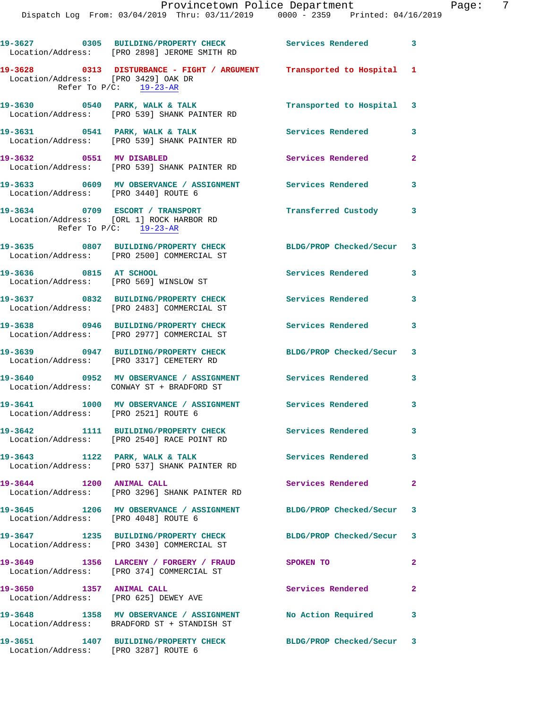|                                      | 19-3627 0305 BUILDING/PROPERTY CHECK Services Rendered<br>Location/Address: [PRO 2898] JEROME SMITH RD   |                           | $\mathbf{3}$            |
|--------------------------------------|----------------------------------------------------------------------------------------------------------|---------------------------|-------------------------|
| Location/Address: [PRO 3429] OAK DR  | 19-3628 0313 DISTURBANCE - FIGHT / ARGUMENT Transported to Hospital 1<br>Refer To $P/C$ : $19-23-AR$     |                           |                         |
|                                      | 19-3630 0540 PARK, WALK & TALK<br>Location/Address: [PRO 539] SHANK PAINTER RD                           | Transported to Hospital 3 |                         |
| 19-3631 0541 PARK, WALK & TALK       | Location/Address: [PRO 539] SHANK PAINTER RD                                                             | Services Rendered         | 3                       |
| 19-3632 0551 MV DISABLED             | Location/Address: [PRO 539] SHANK PAINTER RD                                                             | Services Rendered         | $\mathbf{2}$            |
| Location/Address: [PRO 3440] ROUTE 6 | 19-3633 6609 MV OBSERVANCE / ASSIGNMENT Services Rendered                                                |                           | 3                       |
|                                      | 19-3634 0709 ESCORT / TRANSPORT<br>Location/Address: [ORL 1] ROCK HARBOR RD<br>Refer To $P/C$ : 19-23-AR | Transferred Custody 3     |                         |
|                                      | 19-3635 0807 BUILDING/PROPERTY CHECK<br>Location/Address: [PRO 2500] COMMERCIAL ST                       | BLDG/PROP Checked/Secur 3 |                         |
| 19-3636 0815 AT SCHOOL               | Location/Address: [PRO 569] WINSLOW ST                                                                   | Services Rendered 3       |                         |
|                                      | 19-3637 0832 BUILDING/PROPERTY CHECK<br>Location/Address: [PRO 2483] COMMERCIAL ST                       | <b>Services Rendered</b>  | 3                       |
|                                      | 19-3638 0946 BUILDING/PROPERTY CHECK Services Rendered 3<br>Location/Address: [PRO 2977] COMMERCIAL ST   |                           |                         |
|                                      | 19-3639 0947 BUILDING/PROPERTY CHECK<br>Location/Address: [PRO 3317] CEMETERY RD                         | BLDG/PROP Checked/Secur 3 |                         |
|                                      | 19-3640 0952 MV OBSERVANCE / ASSIGNMENT Services Rendered<br>Location/Address: CONWAY ST + BRADFORD ST   |                           | $\overline{\mathbf{3}}$ |
| Location/Address: [PRO 2521] ROUTE 6 | 19-3641 1000 MV OBSERVANCE / ASSIGNMENT Services Rendered                                                |                           | 3                       |
|                                      | 19-3642 1111 BUILDING/PROPERTY CHECK<br>Location/Address: [PRO 2540] RACE POINT RD                       | <b>Services Rendered</b>  |                         |
|                                      | 19-3643 1122 PARK, WALK & TALK<br>Location/Address: [PRO 537] SHANK PAINTER RD                           | <b>Services Rendered</b>  | $\mathbf{3}$            |
| 19-3644 1200 ANIMAL CALL             | Location/Address: [PRO 3296] SHANK PAINTER RD                                                            | Services Rendered         | $\overline{2}$          |
| Location/Address: [PRO 4048] ROUTE 6 | 19-3645 1206 MV OBSERVANCE / ASSIGNMENT BLDG/PROP Checked/Secur 3                                        |                           |                         |
|                                      | 19-3647 1235 BUILDING/PROPERTY CHECK<br>Location/Address: [PRO 3430] COMMERCIAL ST                       | BLDG/PROP Checked/Secur 3 |                         |
|                                      | 19-3649 1356 LARCENY / FORGERY / FRAUD SPOKEN TO<br>Location/Address: [PRO 374] COMMERCIAL ST            |                           | $\mathbf{2}$            |
| 19-3650 1357 ANIMAL CALL             | Location/Address: [PRO 625] DEWEY AVE                                                                    | Services Rendered         | $\overline{2}$          |
|                                      | 19-3648 1358 MV OBSERVANCE / ASSIGNMENT<br>Location/Address: BRADFORD ST + STANDISH ST                   | No Action Required 3      |                         |
|                                      | 19-3651 1407 BUILDING/PROPERTY CHECK                                                                     | BLDG/PROP Checked/Secur 3 |                         |

Location/Address: [PRO 3287] ROUTE 6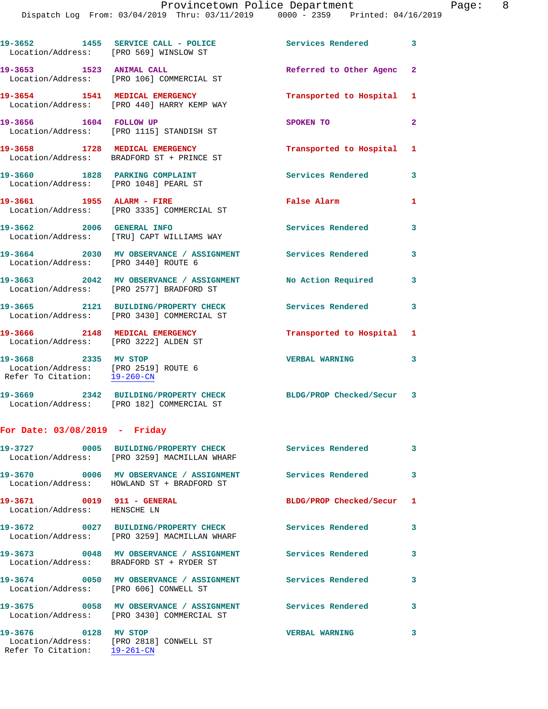19-3652 1455 SERVICE CALL - POLICE 3 Services Rendered 3 Location/Address: [PRO 569] WINSLOW ST **19-3653 1523 ANIMAL CALL Referred to Other Agenc 2**  Location/Address: [PRO 106] COMMERCIAL ST **19-3654 1541 MEDICAL EMERGENCY Transported to Hospital 1**  Location/Address: [PRO 440] HARRY KEMP WAY **19-3656 1604 FOLLOW UP SPOKEN TO 2**  Location/Address: [PRO 1115] STANDISH ST **19-3658 1728 MEDICAL EMERGENCY Transported to Hospital 1**  Location/Address: BRADFORD ST + PRINCE ST 19-3660 1828 PARKING COMPLAINT **Services Rendered** 3 Location/Address: [PRO 1048] PEARL ST **19-3661 1955 ALARM - FIRE False Alarm 1**  Location/Address: [PRO 3335] COMMERCIAL ST **19-3662 2006 GENERAL INFO Services Rendered 3**  Location/Address: [TRU] CAPT WILLIAMS WAY **19-3664 2030 MV OBSERVANCE / ASSIGNMENT Services Rendered 3**  Location/Address: [PRO 3440] ROUTE 6 **19-3663 2042 MV OBSERVANCE / ASSIGNMENT No Action Required 3**  Location/Address: [PRO 2577] BRADFORD ST **19-3665 2121 BUILDING/PROPERTY CHECK Services Rendered 3**  Location/Address: [PRO 3430] COMMERCIAL ST **19-3666 2148 MEDICAL EMERGENCY Transported to Hospital 1**  Location/Address: [PRO 3222] ALDEN ST **19-3668** 2335 MV STOP <br>
Location/Address: [PRO 2519] ROUTE 6 Location/Address: [PRO 2519] ROUTE 6 Refer To Citation: 19-260-CN **19-3669 2342 BUILDING/PROPERTY CHECK BLDG/PROP Checked/Secur 3**  Location/Address: [PRO 182] COMMERCIAL ST

## **For Date: 03/08/2019 - Friday**

|                                                            | 19-3727                  0005     BUILDING/PROPERTY CHECK                     Services Rendered<br>Location/Address: [PRO 3259] MACMILLAN WHARF |                           | $\overline{\mathbf{3}}$ |
|------------------------------------------------------------|-------------------------------------------------------------------------------------------------------------------------------------------------|---------------------------|-------------------------|
|                                                            | 19-3670       0006   MV OBSERVANCE / ASSIGNMENT       Services Rendered<br>Location/Address: HOWLAND ST + BRADFORD ST                           |                           | $\mathbf{3}$            |
| 19-3671 0019 911 - GENERAL<br>Location/Address: HENSCHE LN |                                                                                                                                                 | BLDG/PROP Checked/Secur 1 |                         |
|                                                            | Location/Address: [PRO 3259] MACMILLAN WHARF                                                                                                    |                           | $\mathbf{3}$            |
|                                                            | 19-3673       0048   MV OBSERVANCE / ASSIGNMENT      Services Rendered<br>Location/Address: BRADFORD ST + RYDER ST                              |                           | 3                       |
|                                                            | Location/Address: [PRO 606] CONWELL ST                                                                                                          |                           | $\mathbf{3}$            |
|                                                            | Location/Address: [PRO 3430] COMMERCIAL ST                                                                                                      |                           | $\mathbf{3}$            |
| 19-3676 0128 MV STOP<br>Refer To Citation: 19-261-CN       | Location/Address: [PRO 2818] CONWELL ST                                                                                                         | <b>VERBAL WARNING</b>     | 3                       |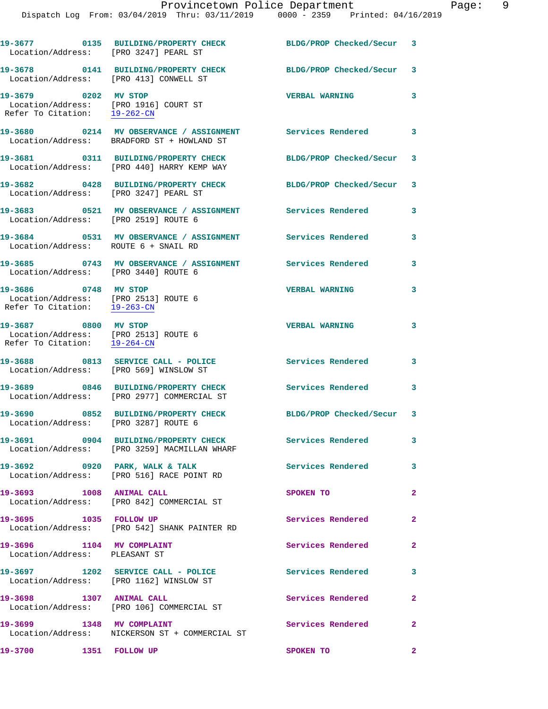| Location/Address: [PRO 3247] PEARL ST                                                                      | 19-3677 0135 BUILDING/PROPERTY CHECK                                                  | BLDG/PROP Checked/Secur 3 |                |
|------------------------------------------------------------------------------------------------------------|---------------------------------------------------------------------------------------|---------------------------|----------------|
| Location/Address: [PRO 413] CONWELL ST                                                                     | 19-3678 0141 BUILDING/PROPERTY CHECK                                                  | BLDG/PROP Checked/Secur 3 |                |
| 19-3679 0202 MV STOP<br>Location/Address: [PRO 1916] COURT ST<br>Refer To Citation: $\frac{19-262-CN}{\ }$ |                                                                                       | <b>VERBAL WARNING</b>     | 3              |
|                                                                                                            | 19-3680 0214 MV OBSERVANCE / ASSIGNMENT<br>Location/Address: BRADFORD ST + HOWLAND ST | Services Rendered 3       |                |
|                                                                                                            | 19-3681 0311 BUILDING/PROPERTY CHECK<br>Location/Address: [PRO 440] HARRY KEMP WAY    | BLDG/PROP Checked/Secur 3 |                |
| Location/Address: [PRO 3247] PEARL ST                                                                      | 19-3682 0428 BUILDING/PROPERTY CHECK                                                  | BLDG/PROP Checked/Secur 3 |                |
| Location/Address: [PRO 2519] ROUTE 6                                                                       | 19-3683 6521 MV OBSERVANCE / ASSIGNMENT Services Rendered                             |                           | 3              |
| Location/Address: ROUTE 6 + SNAIL RD                                                                       | 19-3684 0531 MV OBSERVANCE / ASSIGNMENT Services Rendered                             |                           | 3              |
| Location/Address: [PRO 3440] ROUTE 6                                                                       | 19-3685 0743 MV OBSERVANCE / ASSIGNMENT Services Rendered                             |                           | 3              |
| 19-3686 0748 MV STOP<br>Location/Address: [PRO 2513] ROUTE 6<br>Refer To Citation: 19-263-CN               |                                                                                       | <b>VERBAL WARNING</b>     | 3              |
| 19-3687 0800 MV STOP<br>Location/Address: [PRO 2513] ROUTE 6<br>Refer To Citation: 19-264-CN               |                                                                                       | <b>VERBAL WARNING</b>     | 3              |
|                                                                                                            | 19-3688 0813 SERVICE CALL - POLICE<br>Location/Address: [PRO 569] WINSLOW ST          | Services Rendered         | 3              |
|                                                                                                            | 19-3689 0846 BUILDING/PROPERTY CHECK<br>Location/Address: [PRO 2977] COMMERCIAL ST    | Services Rendered         | 3              |
| Location/Address: [PRO 3287] ROUTE 6                                                                       | 19-3690 0852 BUILDING/PROPERTY CHECK                                                  | BLDG/PROP Checked/Secur 3 |                |
|                                                                                                            | 19-3691 0904 BUILDING/PROPERTY CHECK<br>Location/Address: [PRO 3259] MACMILLAN WHARF  | Services Rendered         | $\mathbf{3}$   |
|                                                                                                            | 19-3692 0920 PARK, WALK & TALK<br>Location/Address: [PRO 516] RACE POINT RD           | Services Rendered         | 3              |
| 19-3693 1008 ANIMAL CALL                                                                                   | Location/Address: [PRO 842] COMMERCIAL ST                                             | SPOKEN TO                 | $\overline{2}$ |
| 19-3695 1035 FOLLOW UP                                                                                     | Location/Address: [PRO 542] SHANK PAINTER RD                                          | Services Rendered         | $\mathbf{2}$   |
| 19-3696 1104 MV COMPLAINT<br>Location/Address: PLEASANT ST                                                 |                                                                                       | <b>Services Rendered</b>  | $\overline{2}$ |
|                                                                                                            | 19-3697 1202 SERVICE CALL - POLICE<br>Location/Address: [PRO 1162] WINSLOW ST         | <b>Services Rendered</b>  | 3              |
| 19-3698 1307 ANIMAL CALL                                                                                   | Location/Address: [PRO 106] COMMERCIAL ST                                             | Services Rendered         | $\mathbf{2}$   |
| 19-3699 1348 MV COMPLAINT                                                                                  | Location/Address: NICKERSON ST + COMMERCIAL ST                                        | Services Rendered         | $\mathbf{2}$   |
| 19-3700 1351 FOLLOW UP                                                                                     |                                                                                       | SPOKEN TO                 | $\mathbf{2}$   |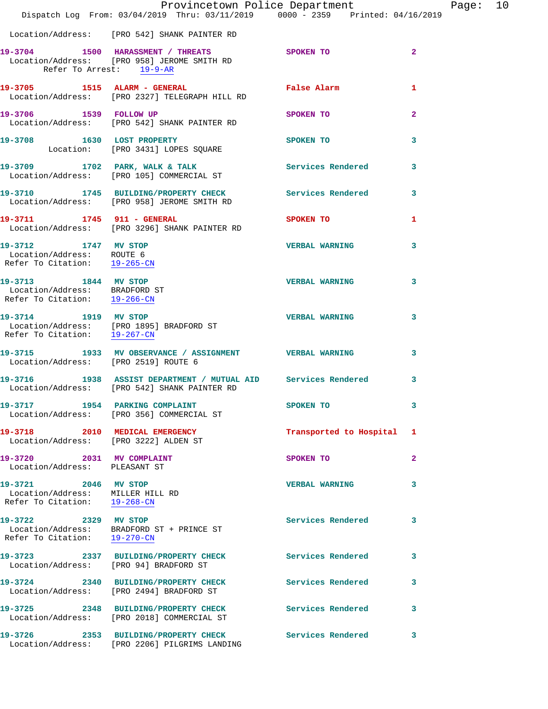|                                                                                          | Dispatch Log From: 03/04/2019 Thru: 03/11/2019 0000 - 2359 Printed: 04/16/2019                                         | Provincetown Police Department |                         | Page: 10 |  |
|------------------------------------------------------------------------------------------|------------------------------------------------------------------------------------------------------------------------|--------------------------------|-------------------------|----------|--|
|                                                                                          |                                                                                                                        |                                |                         |          |  |
|                                                                                          | Location/Address: [PRO 542] SHANK PAINTER RD                                                                           |                                |                         |          |  |
|                                                                                          | 19-3704 1500 HARASSMENT / THREATS SPOKEN TO<br>Location/Address: [PRO 958] JEROME SMITH RD<br>Refer To Arrest: 19-9-AR |                                | $\overline{2}$          |          |  |
|                                                                                          | 19-3705 1515 ALARM - GENERAL<br>Location/Address: [PRO 2327] TELEGRAPH HILL RD                                         | False Alarm                    | 1                       |          |  |
| 19-3706 1539 FOLLOW UP                                                                   | Location/Address: [PRO 542] SHANK PAINTER RD                                                                           | SPOKEN TO                      | $\mathbf{2}$            |          |  |
|                                                                                          | 19-3708 1630 LOST PROPERTY<br>Location: [PRO 3431] LOPES SQUARE                                                        | SPOKEN TO                      | 3                       |          |  |
|                                                                                          | 19-3709 1702 PARK, WALK & TALK STREET SERVICES Rendered Location/Address: [PRO 105] COMMERCIAL ST                      |                                | 3                       |          |  |
|                                                                                          | 19-3710 1745 BUILDING/PROPERTY CHECK Services Rendered<br>Location/Address: [PRO 958] JEROME SMITH RD                  |                                | $\mathbf{3}$            |          |  |
| 19-3711 1745 911 - GENERAL                                                               | Location/Address: [PRO 3296] SHANK PAINTER RD                                                                          | SPOKEN TO                      | 1                       |          |  |
| 19-3712 1747 MV STOP<br>Location/Address: ROUTE 6<br>Refer To Citation: $19-265-CN$      |                                                                                                                        | <b>VERBAL WARNING</b>          | 3                       |          |  |
| 19-3713 1844 MV STOP<br>Location/Address: BRADFORD ST<br>Refer To Citation: 19-266-CN    |                                                                                                                        | <b>VERBAL WARNING</b>          | 3                       |          |  |
| Refer To Citation: 19-267-CN                                                             | 19-3714 1919 MV STOP<br>Location/Address: [PRO 1895] BRADFORD ST                                                       | <b>VERBAL WARNING</b>          | 3                       |          |  |
| Location/Address: [PRO 2519] ROUTE 6                                                     | 19-3715 1933 MV OBSERVANCE / ASSIGNMENT VERBAL WARNING                                                                 |                                | $\overline{\mathbf{3}}$ |          |  |
|                                                                                          | 19-3716 1938 ASSIST DEPARTMENT / MUTUAL AID Services Rendered<br>Location/Address: [PRO 542] SHANK PAINTER RD          |                                | 3                       |          |  |
|                                                                                          | 19-3717 1954 PARKING COMPLAINT<br>Location/Address: [PRO 356] COMMERCIAL ST                                            | SPOKEN TO                      | 3                       |          |  |
|                                                                                          | 19-3718 2010 MEDICAL EMERGENCY<br>Location/Address: [PRO 3222] ALDEN ST                                                | Transported to Hospital 1      |                         |          |  |
| 19-3720 2031 MV COMPLAINT<br>Location/Address: PLEASANT ST                               |                                                                                                                        | <b>SPOKEN TO</b>               | $\mathbf{2}$            |          |  |
| 19-3721 2046 MV STOP<br>Location/Address: MILLER HILL RD<br>Refer To Citation: 19-268-CN |                                                                                                                        | <b>VERBAL WARNING</b>          | 3                       |          |  |
| 19-3722 2329 MV STOP<br>Refer To Citation: 19-270-CN                                     | Location/Address: BRADFORD ST + PRINCE ST                                                                              | Services Rendered              | 3                       |          |  |
| Location/Address: [PRO 94] BRADFORD ST                                                   | 19-3723 2337 BUILDING/PROPERTY CHECK Services Rendered                                                                 |                                | 3                       |          |  |
|                                                                                          | 19-3724 2340 BUILDING/PROPERTY CHECK Services Rendered<br>Location/Address: [PRO 2494] BRADFORD ST                     |                                | 3                       |          |  |
|                                                                                          | 19-3725 2348 BUILDING/PROPERTY CHECK<br>Location/Address: [PRO 2018] COMMERCIAL ST                                     | <b>Services Rendered</b>       | 3                       |          |  |
| 19-3726                                                                                  | 2353 BUILDING/PROPERTY CHECK<br>Location/Address: [PRO 2206] PILGRIMS LANDING                                          | Services Rendered              | 3                       |          |  |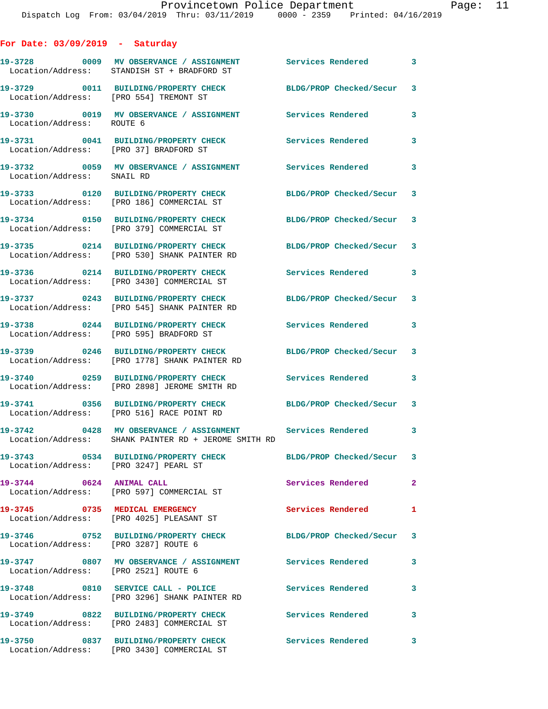| For Date: 03/09/2019<br>Saturday |  |  |
|----------------------------------|--|--|
|----------------------------------|--|--|

|                                        | 19-3728 6009 MV OBSERVANCE / ASSIGNMENT Services Rendered 3<br>Location/Address: STANDISH ST + BRADFORD ST        |                           |              |
|----------------------------------------|-------------------------------------------------------------------------------------------------------------------|---------------------------|--------------|
| Location/Address: [PRO 554] TREMONT ST | 19-3729 0011 BUILDING/PROPERTY CHECK                                                                              | BLDG/PROP Checked/Secur   | 3            |
| Location/Address: ROUTE 6              | 19-3730 0019 MV OBSERVANCE / ASSIGNMENT Services Rendered                                                         |                           | 3            |
| Location/Address: [PRO 37] BRADFORD ST | 19-3731 0041 BUILDING/PROPERTY CHECK                                                                              | Services Rendered         | 3            |
| Location/Address: SNAIL RD             | 19-3732 0059 MV OBSERVANCE / ASSIGNMENT Services Rendered                                                         |                           | 3            |
|                                        | 19-3733 0120 BUILDING/PROPERTY CHECK<br>Location/Address: [PRO 186] COMMERCIAL ST                                 | BLDG/PROP Checked/Secur 3 |              |
|                                        | 19-3734 0150 BUILDING/PROPERTY CHECK<br>Location/Address: [PRO 379] COMMERCIAL ST                                 | BLDG/PROP Checked/Secur 3 |              |
|                                        | 19-3735 0214 BUILDING/PROPERTY CHECK<br>Location/Address: [PRO 530] SHANK PAINTER RD                              | BLDG/PROP Checked/Secur 3 |              |
|                                        | 19-3736 0214 BUILDING/PROPERTY CHECK<br>Location/Address: [PRO 3430] COMMERCIAL ST                                | Services Rendered         | 3            |
|                                        | 19-3737 0243 BUILDING/PROPERTY CHECK<br>Location/Address: [PRO 545] SHANK PAINTER RD                              | BLDG/PROP Checked/Secur 3 |              |
|                                        | 19-3738 0244 BUILDING/PROPERTY CHECK<br>Location/Address: [PRO 595] BRADFORD ST                                   | Services Rendered         | 3            |
| Location/Address:                      | 19-3739 0246 BUILDING/PROPERTY CHECK<br>[PRO 1778] SHANK PAINTER RD                                               | BLDG/PROP Checked/Secur 3 |              |
| Location/Address:                      | 19-3740 0259 BUILDING/PROPERTY CHECK<br>[PRO 2898] JEROME SMITH RD                                                | Services Rendered         | 3            |
|                                        | 19-3741 0356 BUILDING/PROPERTY CHECK<br>Location/Address: [PRO 516] RACE POINT RD                                 | BLDG/PROP Checked/Secur 3 |              |
|                                        | 19-3742 0428 MV OBSERVANCE / ASSIGNMENT Services Rendered<br>Location/Address: SHANK PAINTER RD + JEROME SMITH RD |                           | 3            |
| Location/Address: [PRO 3247] PEARL ST  | 19-3743 0534 BUILDING/PROPERTY CHECK                                                                              | BLDG/PROP Checked/Secur 3 |              |
| 19-3744 0624 ANIMAL CALL               | Location/Address: [PRO 597] COMMERCIAL ST                                                                         | Services Rendered         | $\mathbf{2}$ |
|                                        | 19-3745 0735 MEDICAL EMERGENCY<br>Location/Address: [PRO 4025] PLEASANT ST                                        | <b>Services Rendered</b>  | 1            |
| Location/Address: [PRO 3287] ROUTE 6   | 19-3746 0752 BUILDING/PROPERTY CHECK BLDG/PROP Checked/Secur 3                                                    |                           |              |
| Location/Address: [PRO 2521] ROUTE 6   |                                                                                                                   |                           | 3            |
|                                        | 19-3748 0810 SERVICE CALL - POLICE<br>Location/Address: [PRO 3296] SHANK PAINTER RD                               | <b>Services Rendered</b>  | 3            |
|                                        | Location/Address: [PRO 2483] COMMERCIAL ST                                                                        | Services Rendered         | 3            |
|                                        | 19-3750 0837 BUILDING/PROPERTY CHECK<br>Location/Address: [PRO 3430] COMMERCIAL ST                                | <b>Services Rendered</b>  | 3            |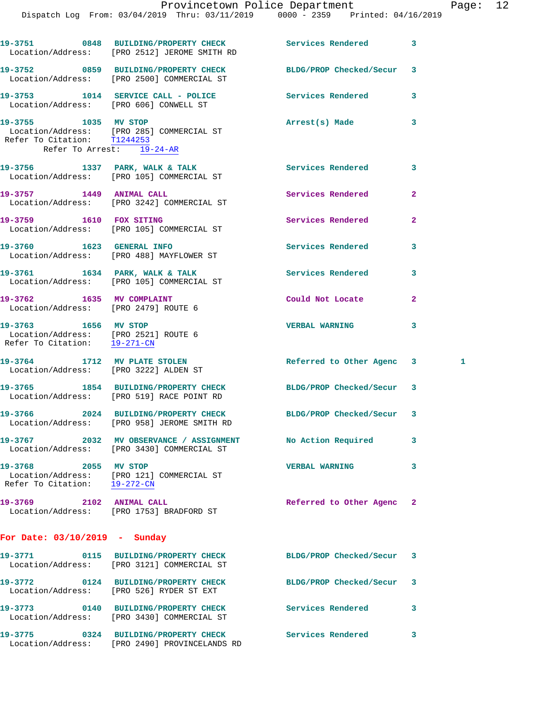Dispatch Log From: 03/04/2019 Thru: 03/11/2019 0000 - 2359 Printed: 04/16/2019

**19-3751 0848 BUILDING/PROPERTY CHECK Services Rendered 3**  Location/Address: [PRO 2512] JEROME SMITH RD **19-3752 0859 BUILDING/PROPERTY CHECK BLDG/PROP Checked/Secur 3**  Location/Address: [PRO 2500] COMMERCIAL ST **19-3753 1014 SERVICE CALL - POLICE Services Rendered 3**  Location/Address: [PRO 606] CONWELL ST **19-3755 1035 MV STOP Arrest(s) Made 3**  Location/Address: [PRO 285] COMMERCIAL ST Refer To Citation: T1244253 Refer To Arrest: 19-24-AR **19-3756 1337 PARK, WALK & TALK Services Rendered 3**  Location/Address: [PRO 105] COMMERCIAL ST 19-3757 1449 ANIMAL CALL Services Rendered 2 Location/Address: [PRO 3242] COMMERCIAL ST **19-3759 1610 FOX SITING Services Rendered 2**  Location/Address: [PRO 105] COMMERCIAL ST **19-3760 1623 GENERAL INFO Services Rendered 3**  Location/Address: [PRO 488] MAYFLOWER ST 19-3761 1634 PARK, WALK & TALK **Services Rendered** 3 Location/Address: [PRO 105] COMMERCIAL ST **19-3762 1635 MV COMPLAINT Could Not Locate 2**  Location/Address: [PRO 2479] ROUTE 6 **19-3763 1656 MV STOP VERBAL WARNING 3**  Location/Address: [PRO 2521] ROUTE 6 Refer To Citation: 19-271-CN **19-3764 1712 MV PLATE STOLEN Referred to Other Agenc 3 1**  Location/Address: [PRO 3222] ALDEN ST **19-3765 1854 BUILDING/PROPERTY CHECK BLDG/PROP Checked/Secur 3**  Location/Address: [PRO 519] RACE POINT RD **19-3766 2024 BUILDING/PROPERTY CHECK BLDG/PROP Checked/Secur 3**  Location/Address: [PRO 958] JEROME SMITH RD **19-3767 2032 MV OBSERVANCE / ASSIGNMENT No Action Required 3**  Location/Address: [PRO 3430] COMMERCIAL ST **19-3768 2055 MV STOP VERBAL WARNING 3**  Location/Address: [PRO 121] COMMERCIAL ST Refer To Citation: 19-272-CN **19-3769 2102 ANIMAL CALL Referred to Other Agenc 2**  Location/Address: [PRO 1753] BRADFORD ST **For Date: 03/10/2019 - Sunday 19-3771 0115 BUILDING/PROPERTY CHECK BLDG/PROP Checked/Secur 3**  Location/Address: [PRO 3121] COMMERCIAL ST **19-3772 0124 BUILDING/PROPERTY CHECK BLDG/PROP Checked/Secur 3**  Location/Address: [PRO 526] RYDER ST EXT **19-3773 0140 BUILDING/PROPERTY CHECK Services Rendered 3**  Location/Address: [PRO 3430] COMMERCIAL ST **19-3775 0324 BUILDING/PROPERTY CHECK Services Rendered 3**  Location/Address: [PRO 2490] PROVINCELANDS RD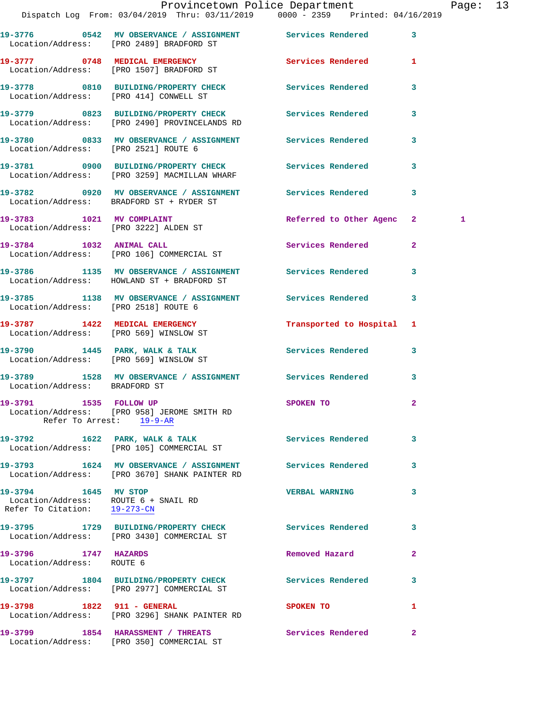|                                                                                              | Dispatch Log From: 03/04/2019 Thru: 03/11/2019 0000 - 2359 Printed: 04/16/2019                               | Provincetown Police Department |                         | Page: 13 |  |
|----------------------------------------------------------------------------------------------|--------------------------------------------------------------------------------------------------------------|--------------------------------|-------------------------|----------|--|
|                                                                                              | 19-3776 0542 MV OBSERVANCE / ASSIGNMENT Services Rendered 3<br>Location/Address: [PRO 2489] BRADFORD ST      |                                |                         |          |  |
|                                                                                              | 19-3777 0748 MEDICAL EMERGENCY Services Rendered 1<br>Location/Address: [PRO 1507] BRADFORD ST               |                                |                         |          |  |
|                                                                                              | 19-3778 0810 BUILDING/PROPERTY CHECK Services Rendered 3<br>Location/Address: [PRO 414] CONWELL ST           |                                |                         |          |  |
|                                                                                              | 19-3779 0823 BUILDING/PROPERTY CHECK Services Rendered 3<br>Location/Address: [PRO 2490] PROVINCELANDS RD    |                                |                         |          |  |
| Location/Address: [PRO 2521] ROUTE 6                                                         | 19-3780 6833 MV OBSERVANCE / ASSIGNMENT Services Rendered                                                    |                                | $\mathbf{3}$            |          |  |
|                                                                                              | 19-3781 0900 BUILDING/PROPERTY CHECK Services Rendered<br>Location/Address: [PRO 3259] MACMILLAN WHARF       |                                | $\overline{\mathbf{3}}$ |          |  |
|                                                                                              | 19-3782 0920 MV OBSERVANCE / ASSIGNMENT Services Rendered 3<br>Location/Address: BRADFORD ST + RYDER ST      |                                |                         |          |  |
|                                                                                              | 19-3783 1021 MV COMPLAINT<br>Location/Address: [PRO 3222] ALDEN ST                                           | Referred to Other Agenc 2      |                         | 1        |  |
|                                                                                              | 19-3784 1032 ANIMAL CALL<br>Location/Address: [PRO 106] COMMERCIAL ST                                        | Services Rendered 2            |                         |          |  |
|                                                                                              | 19-3786 1135 MV OBSERVANCE / ASSIGNMENT Services Rendered<br>Location/Address: HOWLAND ST + BRADFORD ST      |                                | 3                       |          |  |
| Location/Address: [PRO 2518] ROUTE 6                                                         | 19-3785 1138 MV OBSERVANCE / ASSIGNMENT Services Rendered 3                                                  |                                |                         |          |  |
| Location/Address: [PRO 569] WINSLOW ST                                                       | 19-3787 1422 MEDICAL EMERGENCY                                                                               | Transported to Hospital 1      |                         |          |  |
|                                                                                              | 19-3790 1445 PARK, WALK & TALK Services Rendered 3<br>Location/Address: [PRO 569] WINSLOW ST                 |                                |                         |          |  |
| Location/Address: BRADFORD ST                                                                | 19-3789 1528 MV OBSERVANCE / ASSIGNMENT Services Rendered 3                                                  |                                |                         |          |  |
|                                                                                              | 19-3791 1535 FOLLOW UP<br>Location/Address: [PRO 958] JEROME SMITH RD<br>Refer To Arrest: 19-9-AR            | <b>SPOKEN TO</b>               |                         |          |  |
|                                                                                              | 19-3792 1622 PARK, WALK & TALK<br>Location/Address: [PRO 105] COMMERCIAL ST                                  | <b>Services Rendered</b>       | 3                       |          |  |
|                                                                                              | 19-3793 1624 MV OBSERVANCE / ASSIGNMENT Services Rendered 3<br>Location/Address: [PRO 3670] SHANK PAINTER RD |                                |                         |          |  |
| 19-3794 1645 MV STOP<br>Location/Address: ROUTE 6 + SNAIL RD<br>Refer To Citation: 19-273-CN |                                                                                                              | <b>VERBAL WARNING</b>          | 3                       |          |  |
|                                                                                              | 19-3795 1729 BUILDING/PROPERTY CHECK Services Rendered<br>Location/Address: [PRO 3430] COMMERCIAL ST         |                                | 3                       |          |  |
| 19-3796 1747 HAZARDS<br>Location/Address: ROUTE 6                                            |                                                                                                              | Removed Hazard                 | 2                       |          |  |
|                                                                                              | 19-3797 1804 BUILDING/PROPERTY CHECK<br>Location/Address: [PRO 2977] COMMERCIAL ST                           | <b>Services Rendered</b>       | 3                       |          |  |
| 19-3798 1822 911 - GENERAL                                                                   | Location/Address: [PRO 3296] SHANK PAINTER RD                                                                | <b>SPOKEN TO</b>               | 1                       |          |  |
|                                                                                              | 19-3799 1854 HARASSMENT / THREATS                                                                            | <b>Services Rendered</b> 2     |                         |          |  |

Location/Address: [PRO 350] COMMERCIAL ST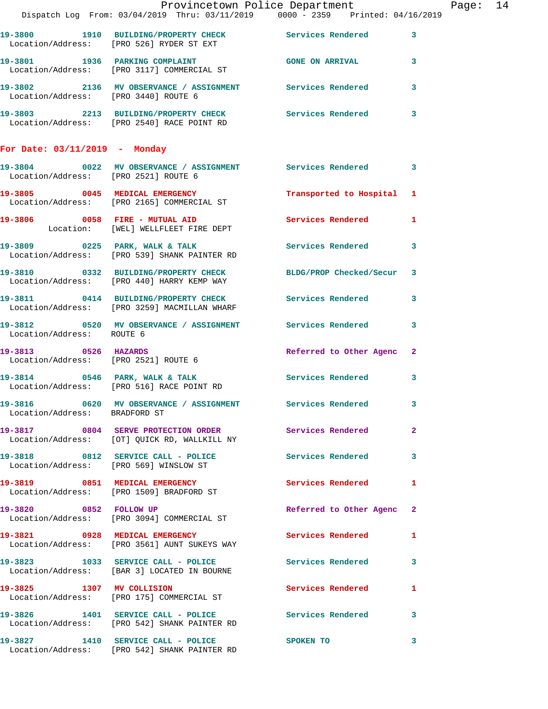|                                      |                                                                                                                                                                                                                                                                              | Provincetown Police Department |   | Page: 14 |  |
|--------------------------------------|------------------------------------------------------------------------------------------------------------------------------------------------------------------------------------------------------------------------------------------------------------------------------|--------------------------------|---|----------|--|
|                                      | Dispatch Log From: 03/04/2019 Thru: 03/11/2019 0000 - 2359 Printed: 04/16/2019                                                                                                                                                                                               |                                |   |          |  |
|                                      | 19-3800 1910 BUILDING/PROPERTY CHECK Services Rendered 3<br>Location/Address: [PRO 526] RYDER ST EXT                                                                                                                                                                         |                                |   |          |  |
|                                      | 19-3801 1936 PARKING COMPLAINT CONSIDER THE GONE ON ARRIVAL CONSTANTING SERVICE OF A SERVICE OF A SERVICE OF A SERVICE OF A SERVICE OF A SERVICE OF A SERVICE OF A SERVICE OF A SERVICE OF A SERVICE OF A SERVICE OF A SERVICE<br>Location/Address: [PRO 3117] COMMERCIAL ST |                                |   |          |  |
|                                      | 19-3802 2136 MV OBSERVANCE / ASSIGNMENT Services Rendered 3<br>Location/Address: [PRO 3440] ROUTE 6                                                                                                                                                                          |                                |   |          |  |
|                                      | 19-3803 2213 BUILDING/PROPERTY CHECK Services Rendered 3<br>Location/Address: [PRO 2540] RACE POINT RD                                                                                                                                                                       |                                |   |          |  |
| For Date: $03/11/2019$ - Monday      |                                                                                                                                                                                                                                                                              |                                |   |          |  |
| Location/Address: [PRO 2521] ROUTE 6 | 19-3804 0022 MV OBSERVANCE / ASSIGNMENT Services Rendered 3                                                                                                                                                                                                                  |                                |   |          |  |
|                                      | 19-3805 0045 MEDICAL EMERGENCY<br>Location/Address: [PRO 2165] COMMERCIAL ST                                                                                                                                                                                                 | Transported to Hospital 1      |   |          |  |
|                                      | 19-3806 0058 FIRE - MUTUAL AID<br>Location: [WEL] WELLFLEET FIRE DEPT                                                                                                                                                                                                        | Services Rendered 1            |   |          |  |
|                                      | 19-3809 0225 PARK, WALK & TALK 3 Services Rendered 3<br>Location/Address: [PRO 539] SHANK PAINTER RD                                                                                                                                                                         |                                |   |          |  |
|                                      | 19-3810 0332 BUILDING/PROPERTY CHECK BLDG/PROP Checked/Secur 3<br>Location/Address: [PRO 440] HARRY KEMP WAY                                                                                                                                                                 |                                |   |          |  |
|                                      | 19-3811 0414 BUILDING/PROPERTY CHECK Services Rendered 3<br>Location/Address: [PRO 3259] MACMILLAN WHARF                                                                                                                                                                     |                                |   |          |  |
| Location/Address: ROUTE 6            | 19-3812 0520 MV OBSERVANCE / ASSIGNMENT Services Rendered 3                                                                                                                                                                                                                  |                                |   |          |  |
| 19-3813 0526 HAZARDS                 | Location/Address: [PRO 2521] ROUTE 6                                                                                                                                                                                                                                         | Referred to Other Agenc 2      |   |          |  |
|                                      | 19-3814 0546 PARK, WALK & TALK 1991 Services Rendered 3<br>Location/Address: [PRO 516] RACE POINT RD                                                                                                                                                                         |                                |   |          |  |
| Location/Address: BRADFORD ST        | 19-3816 		 0620 MV OBSERVANCE / ASSIGNMENT Services Rendered 3                                                                                                                                                                                                               |                                |   |          |  |
|                                      | 19-3817 0804 SERVE PROTECTION ORDER Services Rendered 2<br>Location/Address: [OT] QUICK RD, WALLKILL NY                                                                                                                                                                      |                                |   |          |  |
|                                      | 19-3818 0812 SERVICE CALL - POLICE<br>Location/Address: [PRO 569] WINSLOW ST                                                                                                                                                                                                 | Services Rendered 3            |   |          |  |
|                                      | 19-3819 0851 MEDICAL EMERGENCY<br>Location/Address: [PRO 1509] BRADFORD ST                                                                                                                                                                                                   | Services Rendered 1            |   |          |  |
| 19-3820 0852 FOLLOW UP               | Location/Address: [PRO 3094] COMMERCIAL ST                                                                                                                                                                                                                                   | Referred to Other Agenc 2      |   |          |  |
|                                      | 19-3821 0928 MEDICAL EMERGENCY<br>Location/Address: [PRO 3561] AUNT SUKEYS WAY                                                                                                                                                                                               | Services Rendered 1            |   |          |  |
|                                      | 19-3823 1033 SERVICE CALL - POLICE 3 Services Rendered 3<br>Location/Address: [BAR 3] LOCATED IN BOURNE                                                                                                                                                                      |                                |   |          |  |
|                                      | 19-3825 1307 MV COLLISION<br>Location/Address: [PRO 175] COMMERCIAL ST                                                                                                                                                                                                       | Services Rendered 1            |   |          |  |
|                                      | 19-3826 1401 SERVICE CALL - POLICE Services Rendered 3<br>Location/Address: [PRO 542] SHANK PAINTER RD                                                                                                                                                                       |                                |   |          |  |
|                                      | 19-3827 1410 SERVICE CALL - POLICE SPOKEN TO<br>Location/Address: [PRO 542] SHANK PAINTER RD                                                                                                                                                                                 |                                | 3 |          |  |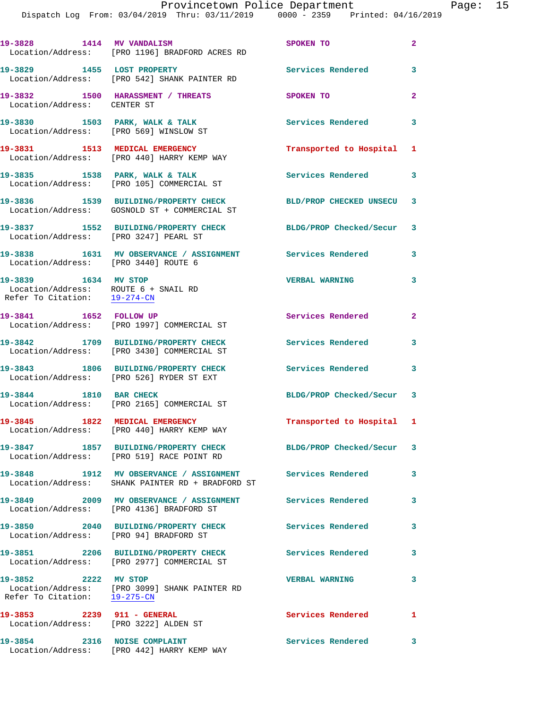Dispatch Log From: 03/04/2019 Thru: 03/11/2019 0000 - 2359 Printed: 04/16/2019

|                                                                                              | 19-3828 1414 MV VANDALISM<br>Location/Address: [PRO 1196] BRADFORD ACRES RD                                   | SPOKEN TO                  | $\overline{2}$ |
|----------------------------------------------------------------------------------------------|---------------------------------------------------------------------------------------------------------------|----------------------------|----------------|
| 19-3829 1455 LOST PROPERTY                                                                   | Location/Address: [PRO 542] SHANK PAINTER RD                                                                  | Services Rendered          | 3              |
| Location/Address: CENTER ST                                                                  | 19-3832 1500 HARASSMENT / THREATS                                                                             | <b>SPOKEN TO</b>           | $\overline{a}$ |
| 19-3830 1503 PARK, WALK & TALK                                                               | Location/Address: [PRO 569] WINSLOW ST                                                                        | <b>Services Rendered</b>   | 3              |
|                                                                                              | 19-3831 1513 MEDICAL EMERGENCY<br>Location/Address: [PRO 440] HARRY KEMP WAY                                  | Transported to Hospital 1  |                |
|                                                                                              | 19-3835 1538 PARK, WALK & TALK<br>Location/Address: [PRO 105] COMMERCIAL ST                                   | Services Rendered 3        |                |
|                                                                                              | 19-3836 1539 BUILDING/PROPERTY CHECK<br>Location/Address: GOSNOLD ST + COMMERCIAL ST                          | BLD/PROP CHECKED UNSECU 3  |                |
| Location/Address: [PRO 3247] PEARL ST                                                        | 19-3837 1552 BUILDING/PROPERTY CHECK                                                                          | BLDG/PROP Checked/Secur 3  |                |
| Location/Address: [PRO 3440] ROUTE 6                                                         | 19-3838 1631 MV OBSERVANCE / ASSIGNMENT Services Rendered                                                     |                            | 3              |
| 19-3839 1634 MV STOP<br>Location/Address: ROUTE 6 + SNAIL RD<br>Refer To Citation: 19-274-CN |                                                                                                               | <b>VERBAL WARNING</b>      | 3              |
| 19-3841 1652 FOLLOW UP                                                                       | Location/Address: [PRO 1997] COMMERCIAL ST                                                                    | Services Rendered          | $\overline{a}$ |
|                                                                                              | 19-3842 1709 BUILDING/PROPERTY CHECK<br>Location/Address: [PRO 3430] COMMERCIAL ST                            | <b>Services Rendered</b>   | 3              |
|                                                                                              | 19-3843 1806 BUILDING/PROPERTY CHECK<br>Location/Address: [PRO 526] RYDER ST EXT                              | Services Rendered 3        |                |
| 19-3844 1810 BAR CHECK                                                                       | Location/Address: [PRO 2165] COMMERCIAL ST                                                                    | BLDG/PROP Checked/Secur 3  |                |
| 19-3845 1822 MEDICAL EMERGENCY                                                               | Location/Address: [PRO 440] HARRY KEMP WAY                                                                    | Transported to Hospital 1  |                |
|                                                                                              | 19-3847 1857 BUILDING/PROPERTY CHECK BLDG/PROP Checked/Secur 3<br>Location/Address: [PRO 519] RACE POINT RD   |                            |                |
|                                                                                              | 19-3848 1912 MV OBSERVANCE / ASSIGNMENT Services Rendered<br>Location/Address: SHANK PAINTER RD + BRADFORD ST |                            | 3              |
|                                                                                              | 19-3849 2009 MV OBSERVANCE / ASSIGNMENT Services Rendered<br>Location/Address: [PRO 4136] BRADFORD ST         |                            | 3              |
|                                                                                              | 19-3850 2040 BUILDING/PROPERTY CHECK<br>Location/Address: [PRO 94] BRADFORD ST                                | Services Rendered          | 3              |
|                                                                                              | 19-3851 2206 BUILDING/PROPERTY CHECK<br>Location/Address: [PRO 2977] COMMERCIAL ST                            | Services Rendered          | 3              |
| 19-3852 2222 MV STOP<br>Refer To Citation: 19-275-CN                                         | Location/Address: [PRO 3099] SHANK PAINTER RD                                                                 | <b>VERBAL WARNING</b>      | 3              |
| Location/Address: [PRO 3222] ALDEN ST                                                        | 19-3853 2239 911 - GENERAL                                                                                    | <b>Services Rendered</b> 1 |                |
|                                                                                              | 19-3854 2316 NOISE COMPLAINT<br>Location/Address: [PRO 442] HARRY KEMP WAY                                    | Services Rendered 3        |                |